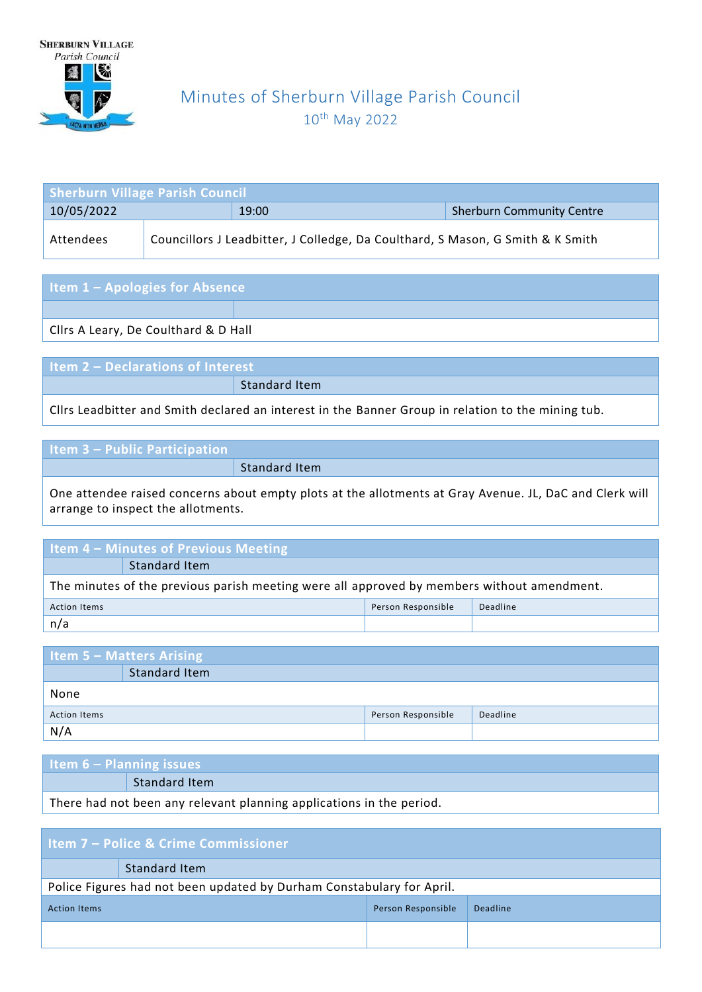

## Minutes of Sherburn Village Parish Council 10<sup>th</sup> May 2022

| <b>Sherburn Village Parish Council</b> |  |                                                                                |                                  |  |
|----------------------------------------|--|--------------------------------------------------------------------------------|----------------------------------|--|
| 10/05/2022                             |  | 19:00                                                                          | <b>Sherburn Community Centre</b> |  |
| Attendees                              |  | Councillors J Leadbitter, J Colledge, Da Coulthard, S Mason, G Smith & K Smith |                                  |  |

| Item 1 - Apologies for Absence |  |
|--------------------------------|--|
|                                |  |

Cllrs A Leary, De Coulthard & D Hall

**Item 2 – Declarations of Interest** Standard Item

Cllrs Leadbitter and Smith declared an interest in the Banner Group in relation to the mining tub.

| <b>Item 3 - Public Participation</b> |  |
|--------------------------------------|--|
|                                      |  |

Standard Item

One attendee raised concerns about empty plots at the allotments at Gray Avenue. JL, DaC and Clerk will arrange to inspect the allotments.

### **Item 4 – Minutes of Previous Meeting** Standard Item The minutes of the previous parish meeting were all approved by members without amendment. Action Items Person Responsible Deadline n/a

| Item 5 – Matters Arising |               |                    |          |
|--------------------------|---------------|--------------------|----------|
|                          | Standard Item |                    |          |
| None                     |               |                    |          |
| <b>Action Items</b>      |               | Person Responsible | Deadline |
| N/A                      |               |                    |          |

| Item $6 -$ Planning issues                                           |               |  |
|----------------------------------------------------------------------|---------------|--|
|                                                                      | Standard Item |  |
| There had not been any relevant planning applications in the period. |               |  |

| <b>Item 7 - Police &amp; Crime Commissioner</b>                       |               |  |  |  |
|-----------------------------------------------------------------------|---------------|--|--|--|
|                                                                       | Standard Item |  |  |  |
| Police Figures had not been updated by Durham Constabulary for April. |               |  |  |  |
| Person Responsible<br>Deadline<br><b>Action Items</b>                 |               |  |  |  |
|                                                                       |               |  |  |  |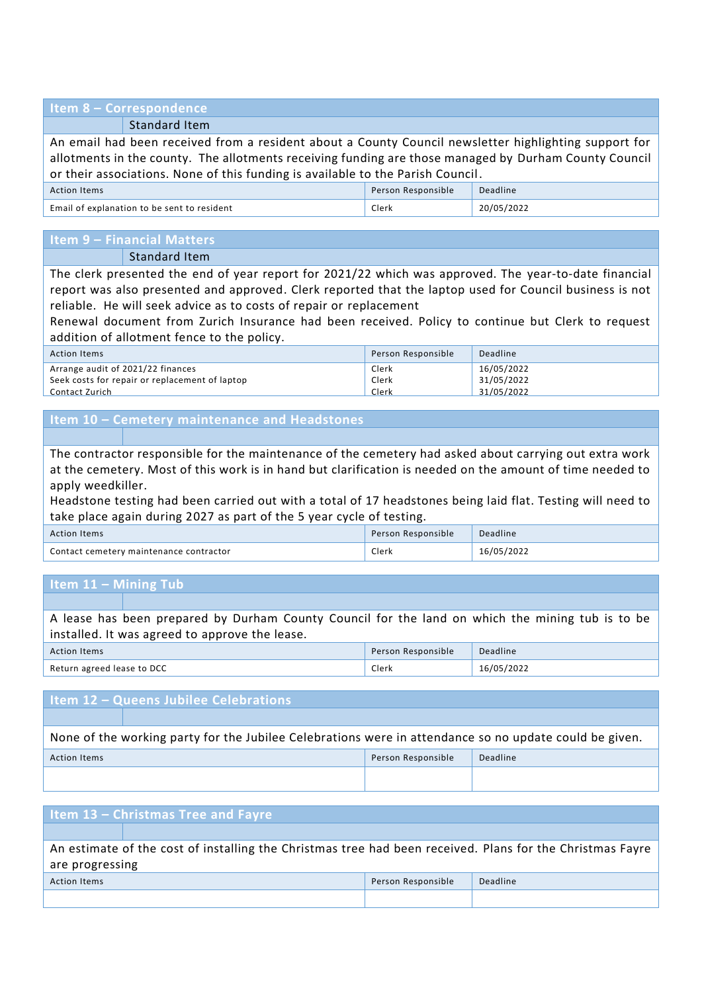### **Item 8 – Correspondence**

Standard Item

An email had been received from a resident about a County Council newsletter highlighting support for allotments in the county. The allotments receiving funding are those managed by Durham County Council or their associations. None of this funding is available to the Parish Council.

| <b>Action Items</b>                         | Person Responsible | Deadline   |
|---------------------------------------------|--------------------|------------|
| Email of explanation to be sent to resident | Clerk              | 20/05/2022 |

# **Item 9 – Financial Matters**

Standard Item

The clerk presented the end of year report for 2021/22 which was approved. The year-to-date financial report was also presented and approved. Clerk reported that the laptop used for Council business is not reliable. He will seek advice as to costs of repair or replacement

Renewal document from Zurich Insurance had been received. Policy to continue but Clerk to request addition of allotment fence to the policy.

| Action Items                                   | Person Responsible | Deadline   |
|------------------------------------------------|--------------------|------------|
| Arrange audit of 2021/22 finances              | Clerk              | 16/05/2022 |
| Seek costs for repair or replacement of laptop | Clerk              | 31/05/2022 |
| Contact Zurich                                 | Clerk              | 31/05/2022 |

### **Item 10 – Cemetery maintenance and Headstones**

The contractor responsible for the maintenance of the cemetery had asked about carrying out extra work at the cemetery. Most of this work is in hand but clarification is needed on the amount of time needed to apply weedkiller.

Headstone testing had been carried out with a total of 17 headstones being laid flat. Testing will need to take place again during 2027 as part of the 5 year cycle of testing.

| Action Items                            | Person Responsible | Deadline   |
|-----------------------------------------|--------------------|------------|
| Contact cemetery maintenance contractor | Clerk              | 16/05/2022 |

### **Item 11 – Mining Tub**

A lease has been prepared by Durham County Council for the land on which the mining tub is to be installed. It was agreed to approve the lease.

| <b>Action Items</b>        | Person Responsible | Deadline   |
|----------------------------|--------------------|------------|
| Return agreed lease to DCC | Clerk              | 16/05/2022 |

### **Item 12 – Queens Jubilee Celebrations**

None of the working party for the Jubilee Celebrations were in attendance so no update could be given.

| Action Items | Person Responsible | Deadline |
|--------------|--------------------|----------|
|              |                    |          |

| Item 13 - Christmas Tree and Fayre                                                                        |  |  |  |  |
|-----------------------------------------------------------------------------------------------------------|--|--|--|--|
|                                                                                                           |  |  |  |  |
| An estimate of the cost of installing the Christmas tree had been received. Plans for the Christmas Fayre |  |  |  |  |
| are progressing                                                                                           |  |  |  |  |
| Person Responsible<br>Deadline<br><b>Action Items</b>                                                     |  |  |  |  |
|                                                                                                           |  |  |  |  |